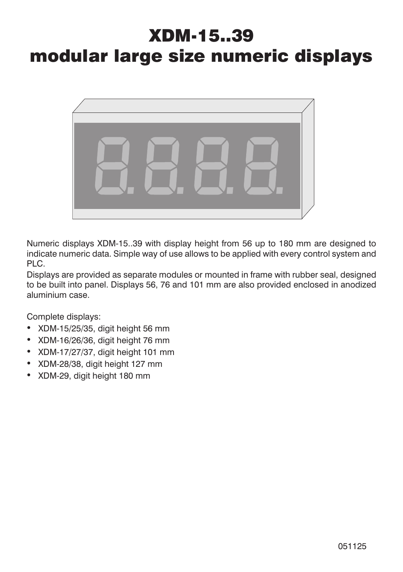# XDM-15..39 modular large size numeric displays



Numeric displays XDM-15..39 with display height from 56 up to 180 mm are designed to indicate numeric data. Simple way of use allows to be applied with every control system and PLC.

Displays are provided as separate modules or mounted in frame with rubber seal, designed to be built into panel. Displays 56, 76 and 101 mm are also provided enclosed in anodized aluminium case.

Complete displays: •

- XDM-15/25/35, digit height 56 mm •
- XDM-16/26/36, digit height 76 mm •
- XDM-17/27/37, digit height 101 mm •
- XDM-28/38, digit height 127 mm •
- XDM-29, digit height 180 mm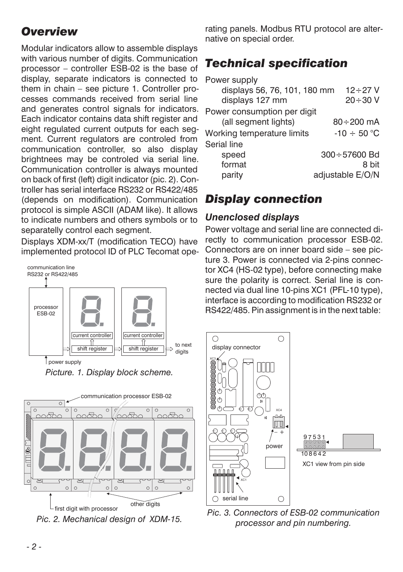# *Overview*

Modular indicators allow to assemble displays with various number of digits. Communication processor – controller ESB-02 is the base of display, separate indicators is connected to them in chain – see picture 1. Controller processes commands received from serial line and generates control signals for indicators. Each indicator contains data shift register and eight regulated current outputs for each segment. Current regulators are controled from communication controller, so also display brightnees may be controled via serial line. Communication controller is always mounted on back of first (left) digit indicator (pic. 2). Controller has serial interface RS232 or RS422/485 (depends on modification). Communication protocol is simple ASCII (ADAM like). It allows to indicate numbers and others symbols or to separatelly control each segment.

Displays XDM-xx/T (modification TECO) have implemented protocol ID of PLC Tecomat ope-



*Picture. 1. Display block scheme.*



*Pic. 2. Mechanical design of XDM-15.*

rating panels. Modbus RTU protocol are alternative on special order.

# *Technical specification*

| displays 56, 76, 101, 180 mm<br>$12 \div 27$ V |
|------------------------------------------------|
| $20 \div 30$ V                                 |
| Power consumption per digit                    |
| 80÷200 mA                                      |
| $-10 \div 50$ °C                               |
|                                                |
| $300 \div 57600$ Bd                            |
| 8 bit                                          |
| adjustable E/O/N                               |
|                                                |

# *Display connection*

### *Unenclosed displays*

Power voltage and serial line are connected directly to communication processor ESB-02. Connectors are on inner board side – see picture 3. Power is connected via 2-pins connector XC4 (HS-02 type), before connecting make sure the polarity is correct. Serial line is connected via dual line 10-pins XC1 (PFL-10 type), interface is according to modification RS232 or RS422/485. Pin assignment is in the next table:



*Pic. 3. Connectors of ESB-02 communication processor and pin numbering.*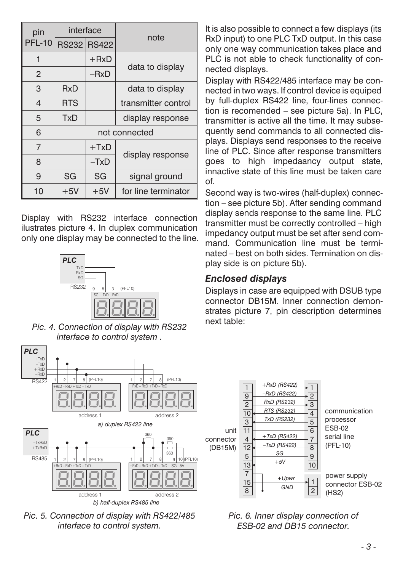| pin            | interface   |               |                     |  |  |
|----------------|-------------|---------------|---------------------|--|--|
| <b>PFL-10</b>  | RS232 RS422 |               | note                |  |  |
| 1              |             | $+ RxD$       |                     |  |  |
| $\overline{2}$ |             | $-RxD$        | data to display     |  |  |
| 3              | RxD         |               | data to display     |  |  |
| 4              | <b>RTS</b>  |               | transmitter control |  |  |
| 5              | <b>TxD</b>  |               | display response    |  |  |
| 6              |             | not connected |                     |  |  |
| $\overline{7}$ |             | $+TxD$        |                     |  |  |
| 8              |             | $-TxD$        | display response    |  |  |
| 9              | SG          | SG            | signal ground       |  |  |
| 10             | $+5V$       | $+5V$         | for line terminator |  |  |

Display with RS232 interface connection ilustrates picture 4. In duplex communication only one display may be connected to the line.



*Pic. 4. Connection of display with RS232 interface to control system .*



*Pic. 5. Connection of display with RS422/485 interface to control system.*

It is also possible to connect a few displays (its RxD input) to one PLC TxD output. In this case only one way communication takes place and PLC is not able to check functionality of connected displays.

Display with RS422/485 interface may be connected in two ways. If control device is equiped by full-duplex RS422 line, four-lines connection is recomended – see picture 5a). In PLC, transmitter is active all the time. It may subsequently send commands to all connected displays. Displays send responses to the receive line of PLC. Since after response transmitters goes to high impedaancy output state, innactive state of this line must be taken care of.

Second way is two-wires (half-duplex) connection – see picture 5b). After sending command display sends response to the same line. PLC transmitter must be correctly controlled – high impedancy output must be set after send command. Communication line must be terminated – best on both sides. Termination on display side is on picture 5b).

### *Enclosed displays*

Displays in case are equipped with DSUB type connector DB15M. Inner connection demonstrates picture 7, pin description determines next table:



#### *Pic. 6. Inner display connection of ESB-02 and DB15 connector.*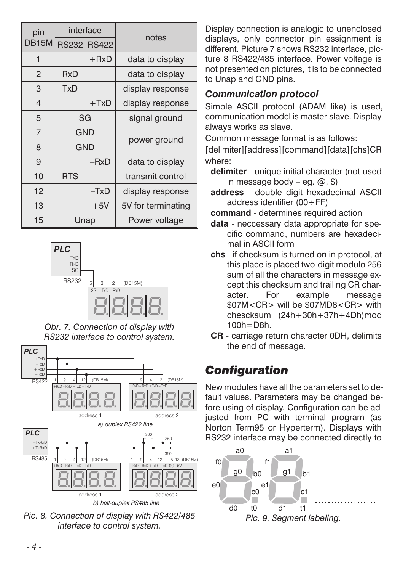| pin            | interface  |             |                    |
|----------------|------------|-------------|--------------------|
| DB15M          |            | RS232 RS422 | notes              |
| 1              |            | $+ RxD$     | data to display    |
| $\overline{2}$ | RxD        |             | data to display    |
| 3              | <b>TxD</b> |             | display response   |
| $\overline{4}$ | $+TxD$     |             | display response   |
| 5              | SG         |             | signal ground      |
| $\overline{7}$ | <b>GND</b> |             |                    |
| 8              | <b>GND</b> |             | power ground       |
| 9              |            | $-RxD$      | data to display    |
| 10             | <b>RTS</b> |             | transmit control   |
| 12             |            | $-TxD$      | display response   |
| 13             |            | $+5V$       | 5V for terminating |
| 15             | Unap       |             | Power voltage      |



*Obr. 7. Connection of display with RS232 interface to control system.*



*Pic. 8. Connection of display with RS422/485 interface to control system.*

Display connection is analogic to unenclosed displays, only connector pin essignment is different. Picture 7 shows RS232 interface, picture 8 RS422/485 interface. Power voltage is not presented on pictures, it is to be connected to Unap and GND pins.

### *Communication protocol*

Simple ASCII protocol (ADAM like) is used, communication model is master-slave. Display always works as slave.

Common message format is as follows:

[delimiter][address][command][data][chs]CR where:

- **delimiter** unique initial character (not used in message body – eg.  $@$ , \$)
- **address** double digit hexadecimal ASCII address identifier (00÷FF)

**command** - determines required action

- **data** neccessary data appropriate for specific command, numbers are hexadecimal in ASCII form
- **chs** if checksum is turned on in protocol, at this place is placed two-digit modulo 256 sum of all the characters in message except this checksum and trailing CR character. For example message \$07M<CR> will be \$07MD8<CR> with chescksum (24h+30h+37h+4Dh)mod 100h=D8h.
- **CR** carriage return character 0DH, delimits the end of message.

# *Configuration*

New modules have all the parameters set to default values. Parameters may be changed before using of display. Configuration can be adjusted from PC with terminal program (as Norton Term95 or Hyperterm). Displays with RS232 interface may be connected directly to

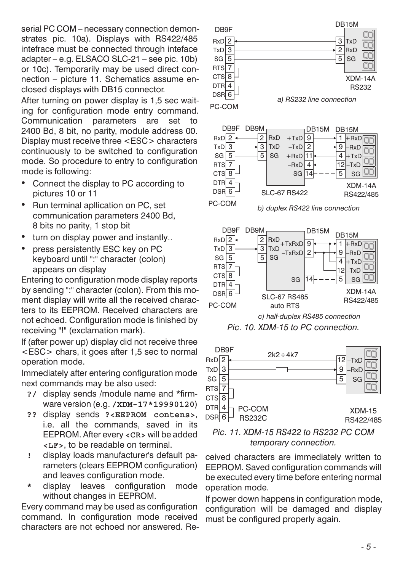serial PC COM – necessary connection demonstrates pic. 10a). Displays with RS422/485 intefrace must be connected through inteface adapter – e.g. ELSACO SLC-21 – see pic. 10b) or 10c). Temporarily may be used direct connection – picture 11. Schematics assume enclosed displays with DB15 connector.

After turning on power display is 1,5 sec waiting for configuration mode entry command. Communication parameters are set to 2400 Bd, 8 bit, no parity, module address 00. Display must receive three <ESC> characters continuously to be switched to configuration mode. So procedure to entry to configuration mode is following:

- Connect the display to PC according to pictures 10 or 11
- Run terminal apllication on PC, set communication parameters 2400 Bd, 8 bits no parity, 1 stop bit
- turn on display power and instantly..
- press persistently ESC key on PC keyboard until ":" character (colon) appears on display

Entering to configuration mode display reports by sending ":" character (colon). From this moment display will write all the received characters to its EEPROM. Received characters are not echoed. Configuration mode is finished by receiving "!" (exclamation mark).

If (after power up) display did not receive three <ESC> chars, it goes after 1,5 sec to normal operation mode.

Immediately after entering configuration mode next commands may be also used:

- **?/** display sends /module name and \*firmware version (e.g. **/XDM-17\*19990120**)
- **??** display sends **?<EEPROM contens>**, i.e. all the commands, saved in its EEPROM. After every **<CR>** will be added **<LF>**, to be readable on terminal.
- **!** display loads manufacturer's default parameters (clears EEPROM configuration) and leaves configuration mode.
- **\*** display leaves configuration mode without changes in EEPROM.

Every command may be used as configuration command. In configuration mode received characters are not echoed nor answered. Re-







ceived characters are immediately written to EEPROM. Saved configuration commands will be executed every time before entering normal operation mode.

If power down happens in configuration mode, configuration will be damaged and display must be configured properly again.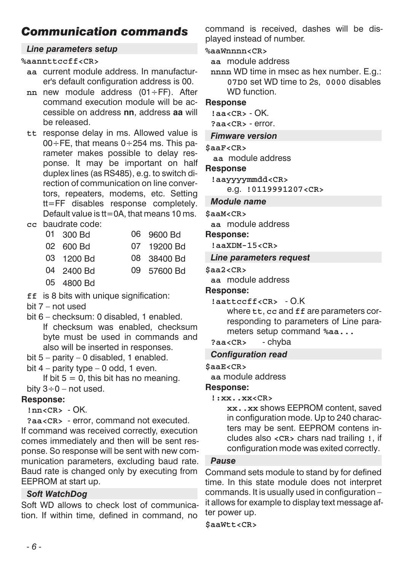## *Communication commands*

#### *Line parameters setup*

#### **%aannttccff<CR>**

- **aa** current module address. In manufacturer's default configuration address is 00.
- **nn** new module address (01÷FF). After command execution module will be accessible on address **nn**, address **aa** will be released.
- **tt** response delay in ms. Allowed value is  $00 \div$  FE, that means  $0 \div 254$  ms. This parameter makes possible to delay response. It may be important on half duplex lines (as RS485), e.g. to switch direction of communication on line convertors, repeaters, modems, etc. Setting tt=FF disables response completely. Default value is tt=0A, that means 10 ms.

#### **cc** baudrate code:

| 01 300 Bd  | 06 9600 Bd  |
|------------|-------------|
| 02 600 Bd  | 07 19200 Bd |
| 03 1200 Bd | 08 38400 Bd |
| 04 2400 Bd | 09 57600 Bd |
| 05 4800 Bd |             |

- **ff** is 8 bits with unique signification:
- bit 7 not used
- bit 6 checksum: 0 disabled, 1 enabled. If checksum was enabled, checksum byte must be used in commands and also will be inserted in responses.
- bit 5 parity 0 disabled, 1 enabled.
- bit  $4$  parity type 0 odd, 1 even.

If bit  $5 = 0$ , this bit has no meaning. bity  $3 \div 0$  – not used.

#### **Response:**

```
!nn<CR> - OK.
```
**?aa<CR>** - error, command not executed. If command was received correctly, execution comes immediately and then will be sent response. So response will be sent with new communication parameters, excluding baud rate. Baud rate is changed only by executing from EEPROM at start up.

#### *Soft WatchDog*

Soft WD allows to check lost of communication. If within time, defined in command, no command is received, dashes will be displayed instead of number.

**%aaWnnnn<CR>**

- **aa** module address
- **nnnn** WD time in msec as hex number. E.g.: **07D0** set WD time to 2s, **0000** disables WD function.

#### **Response**

**!aa<CR>** - OK.

**?aa<CR>** - error.

#### *Fimware version*

**\$aaF<CR>**

**aa** module address

**Response**

**!aayyyymmdd<CR>**

e.g. **!0119991207<CR>**

#### *Module name*

**\$aaM<CR>**

**aa** module address

**Response:**

**!aaXDM-15<CR>**

#### *Line parameters request*

**\$aa2<CR>**

**aa** module address

#### **Response:**

**!aattccff<CR>** - O.K

where **tt**, **cc** and **ff** are parameters corresponding to parameters of Line parameters setup command **%aa...**

**?aa<CR>** - chyba

#### *Configuration read*

**\$aaE<CR>**

**aa** module address

#### **Response:**

**!:xx..xx<CR>**

**xx..xx** shows EEPROM content, saved in configuration mode. Up to 240 characters may be sent. EEPROM contens includes also **<CR>** chars nad trailing **!**, if configuration mode was exited correctly.

#### *Pause*

Command sets module to stand by for defined time. In this state module does not interpret commands. It is usually used in configuration – it allows for example to display text message after power up.

#### **\$aaWtt<CR>**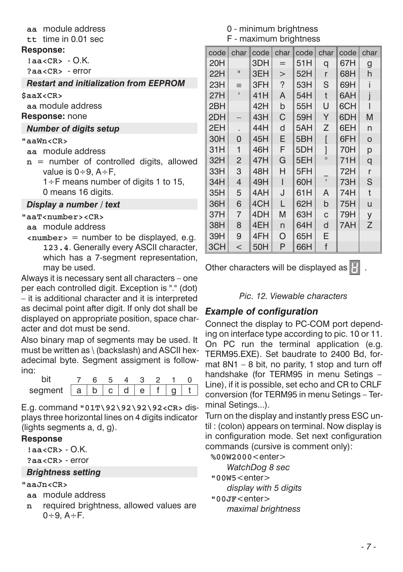**aa** module address

**tt** time in 0.01 sec

#### **Response:**

**!aa<CR>** - O.K.

**?aa<CR>** - error

#### *Restart and initialization from EEPROM*

#### **\$aaX<CR>**

**aa** module address

#### **Response:** none

#### *Number of digits setup*

- **"aaWn<CR>**
	- **aa** module address
	- **n** = number of controlled digits, allowed value is  $0 \div 9$ ,  $A \div F$ ,
		- 1÷F means number of digits 1 to 15,
		- 0 means 16 digits.

#### *Display a number / text*

#### **"aaT<number><CR>**

- **aa** module address
- **<number>** = number to be displayed, e.g. **123.4**. Generally every ASCII character, which has a 7-segment representation, may be used.

Always it is necessary sent all characters – one per each controlled digit. Exception is "." (dot) – it is additional character and it is interpreted as decimal point after digit. If only dot shall be displayed on appropriate position, space character and dot must be send.

Also binary map of segments may be used. It must be written as \ (backslash) and ASCII hexadecimal byte. Segment assigment is following:

| segment $ a b c d e f $ |  |  |  |  |
|-------------------------|--|--|--|--|

E.g. command **"01T\92\92\92\92<CR>** displays three horizontal lines on 4 digits indicator (lights segments a, d, g).

#### **Response**

**!aa<CR>** - O.K.

#### **?aa<CR>** - error

#### *Brightness setting*

#### **"aaJn<CR>**

- **aa** module address
- **n** required brightness, allowed values are  $0 \div 9$ ,  $A \div F$ .
- 0 minimum brightness
- F maximum brightness

| code | char           | code | char  | code | char         | code | char    |
|------|----------------|------|-------|------|--------------|------|---------|
| 20H  |                | 3DH  | $=$   | 51H  | q            | 67H  | g       |
| 22H  | $\mathbf{H}$   | 3EH  | $\gt$ | 52H  | r            | 68H  | h       |
| 23H  | $=$            | 3FH  | ?     | 53H  | S            | 69H  |         |
| 27H  | п              | 41H  | A     | 54H  | t            | 6AH  |         |
| 2BH  |                | 42H  | b     | 55H  | U            | 6CH  |         |
| 2DH  |                | 43H  | C     | 59H  | Υ            | 6DH  | М       |
| 2EH  |                | 44H  | d     | 5AH  | Z            | 6EH  | n       |
| 30H  | 0              | 45H  | E     | 5BH  |              | 6FH  | $\circ$ |
| 31H  | 1              | 46H  | F     | 5DH  |              | 70H  | p       |
| 32H  | 2              | 47H  | G     | 5EH  | $\circ$      | 71H  | q       |
| 33H  | 3              | 48H  | н     | 5FH  |              | 72H  | r       |
| 34H  | 4              | 49H  | ı     | 60H  | $\mathbf{I}$ | 73H  | S       |
| 35H  | 5              | 4AH  | J     | 61H  | A            | 74H  | t       |
| 36H  | 6              | 4CH  | L     | 62H  | b            | 75H  | u       |
| 37H  | $\overline{7}$ | 4DH  | M     | 63H  | C            | 79H  | y       |
| 38H  | 8              | 4EH  | n     | 64H  | d            | 7AH  | Z       |
| 39H  | 9              | 4FH  | O     | 65H  | E            |      |         |
| 3CH  | $\,<\,$        | 50H  | P     | 66H  | f            |      |         |

Other characters will be displayed as

#### *Pic. 12. Viewable characters*

### *Example of configuration*

Connect the display to PC-COM port depending on interface type according to pic. 10 or 11. On PC run the terminal application (e.g. TERM95.EXE). Set baudrate to 2400 Bd, format 8N1 – 8 bit, no parity, 1 stop and turn off handshake (for TERM95 in menu Setings – Line), if it is possible, set echo and CR to CRLF conversion (for TERM95 in menu Setings – Terminal Setings...).

Turn on the display and instantly press ESC until : (colon) appears on terminal. Now display is in configuration mode. Set next configuration commands (cursive is comment only):

**%00W2000**<enter>

*WatchDog 8 sec* **"00W5**<enter> *display with 5 digits*

**"00JF**<enter>

*maximal brightness*